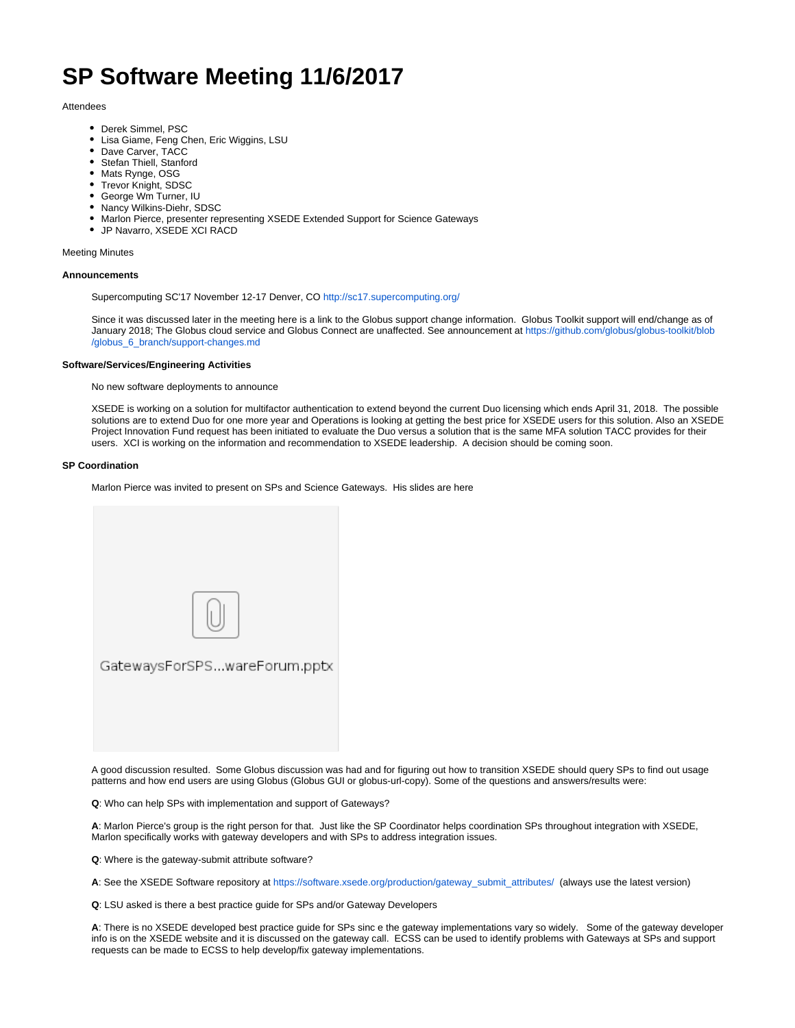# **SP Software Meeting 11/6/2017**

### Attendees

- Derek Simmel, PSC
- Lisa Giame, Feng Chen, Eric Wiggins, LSU
- Dave Carver, TACC
- Stefan Thiell, Stanford
- Mats Rynge, OSG
- Trevor Knight, SDSC
- George Wm Turner, IU
- Nancy Wilkins-Diehr, SDSC
- Marlon Pierce, presenter representing XSEDE Extended Support for Science Gateways
- JP Navarro, XSEDE XCI RACD

#### Meeting Minutes

#### **Announcements**

Supercomputing SC'17 November 12-17 Denver, CO<http://sc17.supercomputing.org/>

Since it was discussed later in the meeting here is a link to the Globus support change information. Globus Toolkit support will end/change as of January 2018; The Globus cloud service and Globus Connect are unaffected. See announcement at [https://github.com/globus/globus-toolkit/blob](https://github.com/globus/globus-toolkit/blob/globus_6_branch/support-changes.md) [/globus\\_6\\_branch/support-changes.md](https://github.com/globus/globus-toolkit/blob/globus_6_branch/support-changes.md)

## **Software/Services/Engineering Activities**

No new software deployments to announce

XSEDE is working on a solution for multifactor authentication to extend beyond the current Duo licensing which ends April 31, 2018. The possible solutions are to extend Duo for one more year and Operations is looking at getting the best price for XSEDE users for this solution. Also an XSEDE Project Innovation Fund request has been initiated to evaluate the Duo versus a solution that is the same MFA solution TACC provides for their users. XCI is working on the information and recommendation to XSEDE leadership. A decision should be coming soon.

#### **SP Coordination**

Marlon Pierce was invited to present on SPs and Science Gateways. His slides are here

| GatewaysForSPSwareForum.pptx |
|------------------------------|
|                              |
|                              |

A good discussion resulted. Some Globus discussion was had and for figuring out how to transition XSEDE should query SPs to find out usage patterns and how end users are using Globus (Globus GUI or globus-url-copy). Some of the questions and answers/results were:

**Q**: Who can help SPs with implementation and support of Gateways?

**A**: Marlon Pierce's group is the right person for that. Just like the SP Coordinator helps coordination SPs throughout integration with XSEDE, Marlon specifically works with gateway developers and with SPs to address integration issues.

**Q**: Where is the gateway-submit attribute software?

**A**: See the XSEDE Software repository at [https://software.xsede.org/production/gateway\\_submit\\_attributes/](https://software.xsede.org/production/gateway_submit_attributes/) (always use the latest version)

**Q**: LSU asked is there a best practice guide for SPs and/or Gateway Developers

**A**: There is no XSEDE developed best practice guide for SPs sinc e the gateway implementations vary so widely. Some of the gateway developer info is on the XSEDE website and it is discussed on the gateway call. ECSS can be used to identify problems with Gateways at SPs and support requests can be made to ECSS to help develop/fix gateway implementations.